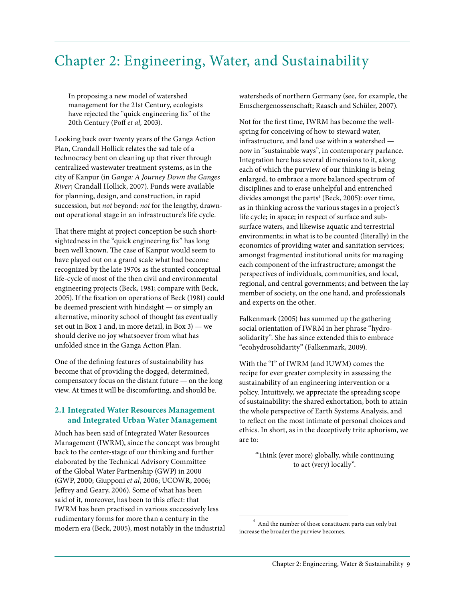# Chapter 2: Engineering, Water, and Sustainability

In proposing a new model of watershed management for the 21st Century, ecologists have rejected the "quick engineering fix" of the 20th Century (Poff *et al,* 2003).

Looking back over twenty years of the Ganga Action Plan, Crandall Hollick relates the sad tale of a technocracy bent on cleaning up that river through centralized wastewater treatment systems, as in the city of Kanpur (in *Ganga: A Journey Down the Ganges River*; Crandall Hollick, 2007). Funds were available for planning, design, and construction, in rapid succession, but *not* beyond: *not* for the lengthy, drawnout operational stage in an infrastructure's life cycle.

That there might at project conception be such shortsightedness in the "quick engineering fix" has long been well known. The case of Kanpur would seem to have played out on a grand scale what had become recognized by the late 1970s as the stunted conceptual life-cycle of most of the then civil and environmental engineering projects (Beck, 1981; compare with Beck, 2005). If the fixation on operations of Beck (1981) could be deemed prescient with hindsight — or simply an alternative, minority school of thought (as eventually set out in Box 1 and, in more detail, in Box 3) — we should derive no joy whatsoever from what has unfolded since in the Ganga Action Plan.

One of the defining features of sustainability has become that of providing the dogged, determined, compensatory focus on the distant future — on the long view. At times it will be discomforting, and should be.

# **2.1 Integrated Water Resources Management and Integrated Urban Water Management**

Much has been said of Integrated Water Resources Management (IWRM), since the concept was brought back to the center-stage of our thinking and further elaborated by the Technical Advisory Committee of the Global Water Partnership (GWP) in 2000 (GWP, 2000; Giupponi *et al*, 2006; UCOWR, 2006; Jeffrey and Geary, 2006). Some of what has been said of it, moreover, has been to this effect: that IWRM has been practised in various successively less rudimentary forms for more than a century in the modern era (Beck, 2005), most notably in the industrial watersheds of northern Germany (see, for example, the Emschergenossenschaft; Raasch and Schüler, 2007).

Not for the first time, IWRM has become the wellspring for conceiving of how to steward water, infrastructure, and land use within a watershed now in "sustainable ways", in contemporary parlance. Integration here has several dimensions to it, along each of which the purview of our thinking is being enlarged, to embrace a more balanced spectrum of disciplines and to erase unhelpful and entrenched divides amongst the parts<sup>4</sup> (Beck, 2005): over time, as in thinking across the various stages in a project's life cycle; in space; in respect of surface and subsurface waters, and likewise aquatic and terrestrial environments; in what is to be counted (literally) in the economics of providing water and sanitation services; amongst fragmented institutional units for managing each component of the infrastructure; amongst the perspectives of individuals, communities, and local, regional, and central governments; and between the lay member of society, on the one hand, and professionals and experts on the other.

Falkenmark (2005) has summed up the gathering social orientation of IWRM in her phrase "hydrosolidarity". She has since extended this to embrace "ecohydrosolidarity" (Falkenmark, 2009).

With the "I" of IWRM (and IUWM) comes the recipe for ever greater complexity in assessing the sustainability of an engineering intervention or a policy. Intuitively, we appreciate the spreading scope of sustainability: the shared exhortation, both to attain the whole perspective of Earth Systems Analysis, and to reflect on the most intimate of personal choices and ethics. In short, as in the deceptively trite aphorism, we are to:

"Think (ever more) globally, while continuing to act (very) locally".

 $^4\,$  And the number of those constituent parts can only but increase the broader the purview becomes.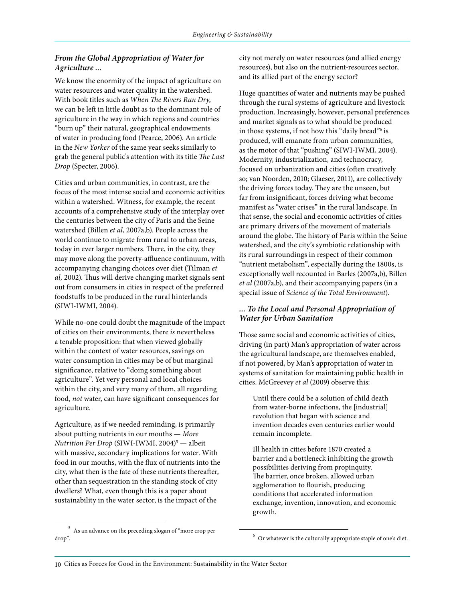# *From the Global Appropriation of Water for Agriculture ...*

We know the enormity of the impact of agriculture on water resources and water quality in the watershed. With book titles such as *When The Rivers Run Dry*, we can be left in little doubt as to the dominant role of agriculture in the way in which regions and countries "burn up" their natural, geographical endowments of water in producing food (Pearce, 2006). An article in the *New Yorker* of the same year seeks similarly to grab the general public's attention with its title *The Last Drop* (Specter, 2006).

Cities and urban communities, in contrast, are the focus of the most intense social and economic activities within a watershed. Witness, for example, the recent accounts of a comprehensive study of the interplay over the centuries between the city of Paris and the Seine watershed (Billen *et al*, 2007a,b). People across the world continue to migrate from rural to urban areas, today in ever larger numbers. There, in the city, they may move along the poverty-affluence continuum, with accompanying changing choices over diet (Tilman *et al,* 2002). Thus will derive changing market signals sent out from consumers in cities in respect of the preferred foodstuffs to be produced in the rural hinterlands (SIWI-IWMI, 2004).

While no-one could doubt the magnitude of the impact of cities on their environments, there *is* nevertheless a tenable proposition: that when viewed globally within the context of water resources, savings on water consumption in cities may be of but marginal significance, relative to "doing something about agriculture". Yet very personal and local choices within the city, and very many of them, all regarding food, *not* water, can have significant consequences for agriculture.

Agriculture, as if we needed reminding, is primarily about putting nutrients in our mouths — *More Nutrition Per Drop* (SIWI-IWMI, 2004)5 — albeit with massive, secondary implications for water. With food in our mouths, with the flux of nutrients into the city, what then is the fate of these nutrients thereafter, other than sequestration in the standing stock of city dwellers? What, even though this is a paper about sustainability in the water sector, is the impact of the

 $^{\rm 5}$  As an advance on the preceding slogan of "more crop per drop".

city not merely on water resources (and allied energy resources), but also on the nutrient-resources sector, and its allied part of the energy sector?

Huge quantities of water and nutrients may be pushed through the rural systems of agriculture and livestock production. Increasingly, however, personal preferences and market signals as to what should be produced in those systems, if not how this "daily bread"<sup>6</sup> is produced, will emanate from urban communities, as the motor of that "pushing" (SIWI-IWMI, 2004). Modernity, industrialization, and technocracy, focused on urbanization and cities (often creatively so; van Noorden, 2010; Glaeser, 2011), are collectively the driving forces today. They are the unseen, but far from insignificant, forces driving what become manifest as "water crises" in the rural landscape. In that sense, the social and economic activities of cities are primary drivers of the movement of materials around the globe. The history of Paris within the Seine watershed, and the city's symbiotic relationship with its rural surroundings in respect of their common "nutrient metabolism", especially during the 1800s, is exceptionally well recounted in Barles (2007a,b), Billen *et al* (2007a,b), and their accompanying papers (in a special issue of *Science of the Total Environment*).

# *... To the Local and Personal Appropriation of Water for Urban Sanitation*

Those same social and economic activities of cities, driving (in part) Man's appropriation of water across the agricultural landscape, are themselves enabled, if not powered, by Man's appropriation of water in systems of sanitation for maintaining public health in cities. McGreevey *et al* (2009) observe this:

Until there could be a solution of child death from water-borne infections, the [industrial] revolution that began with science and invention decades even centuries earlier would remain incomplete.

Ill health in cities before 1870 created a barrier and a bottleneck inhibiting the growth possibilities deriving from propinquity. The barrier, once broken, allowed urban agglomeration to flourish, producing conditions that accelerated information exchange, invention, innovation, and economic growth.

 $^6\,$  Or whatever is the culturally appropriate staple of one's diet.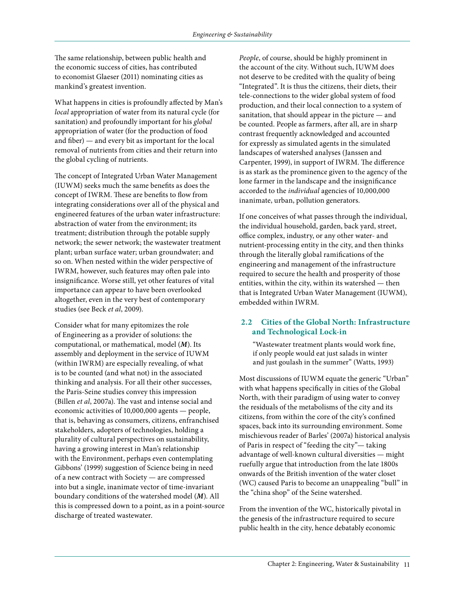The same relationship, between public health and the economic success of cities, has contributed to economist Glaeser (2011) nominating cities as mankind's greatest invention.

What happens in cities is profoundly affected by Man's *local* appropriation of water from its natural cycle (for sanitation) and profoundly important for his *global* appropriation of water (for the production of food and fiber) — and every bit as important for the local removal of nutrients from cities and their return into the global cycling of nutrients.

The concept of Integrated Urban Water Management (IUWM) seeks much the same benefits as does the concept of IWRM. These are benefits to flow from integrating considerations over all of the physical and engineered features of the urban water infrastructure: abstraction of water from the environment; its treatment; distribution through the potable supply network; the sewer network; the wastewater treatment plant; urban surface water; urban groundwater; and so on. When nested within the wider perspective of IWRM, however, such features may often pale into insignificance. Worse still, yet other features of vital importance can appear to have been overlooked altogether, even in the very best of contemporary studies (see Beck *et al*, 2009).

Consider what for many epitomizes the role of Engineering as a provider of solutions: the computational, or mathematical, model (*M*). Its assembly and deployment in the service of IUWM (within IWRM) are especially revealing, of what is to be counted (and what not) in the associated thinking and analysis. For all their other successes, the Paris-Seine studies convey this impression (Billen *et al*, 2007a). The vast and intense social and economic activities of 10,000,000 agents — people, that is, behaving as consumers, citizens, enfranchised stakeholders, adopters of technologies, holding a plurality of cultural perspectives on sustainability, having a growing interest in Man's relationship with the Environment, perhaps even contemplating Gibbons' (1999) suggestion of Science being in need of a new contract with Society — are compressed into but a single, inanimate vector of time-invariant boundary conditions of the watershed model (*M*). All this is compressed down to a point, as in a point-source discharge of treated wastewater.

*People*, of course, should be highly prominent in the account of the city. Without such, IUWM does not deserve to be credited with the quality of being "Integrated". It is thus the citizens, their diets, their tele-connections to the wider global system of food production, and their local connection to a system of sanitation, that should appear in the picture — and be counted. People as farmers, after all, are in sharp contrast frequently acknowledged and accounted for expressly as simulated agents in the simulated landscapes of watershed analyses (Janssen and Carpenter, 1999), in support of IWRM. The difference is as stark as the prominence given to the agency of the lone farmer in the landscape and the insignificance accorded to the *individual* agencies of 10,000,000 inanimate, urban, pollution generators.

If one conceives of what passes through the individual, the individual household, garden, back yard, street, office complex, industry, or any other water- and nutrient-processing entity in the city, and then thinks through the literally global ramifications of the engineering and management of the infrastructure required to secure the health and prosperity of those entities, within the city, within its watershed — then that is Integrated Urban Water Management (IUWM), embedded within IWRM.

### **2.2 Cities of the Global North: Infrastructure and Technological Lock-in**

"Wastewater treatment plants would work fine, if only people would eat just salads in winter and just goulash in the summer" (Watts, 1993)

Most discussions of IUWM equate the generic "Urban" with what happens specifically in cities of the Global North, with their paradigm of using water to convey the residuals of the metabolisms of the city and its citizens, from within the core of the city's confined spaces, back into its surrounding environment. Some mischievous reader of Barles' (2007a) historical analysis of Paris in respect of "feeding the city"— taking advantage of well-known cultural diversities — might ruefully argue that introduction from the late 1800s onwards of the British invention of the water closet (WC) caused Paris to become an unappealing "bull" in the "china shop" of the Seine watershed.

From the invention of the WC, historically pivotal in the genesis of the infrastructure required to secure public health in the city, hence debatably economic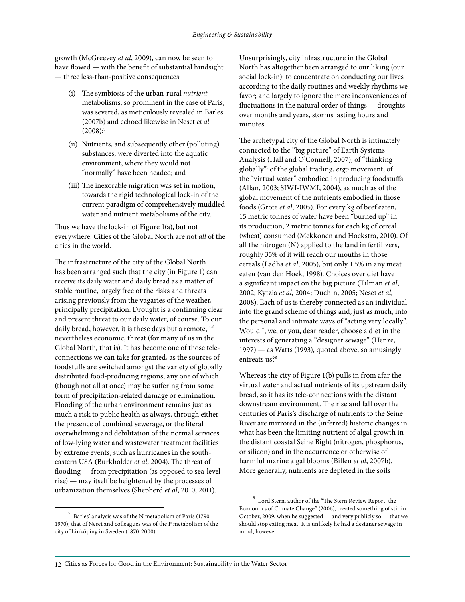growth (McGreevey *et al*, 2009), can now be seen to have flowed — with the benefit of substantial hindsight — three less-than-positive consequences:

- (i) The symbiosis of the urban-rural *nutrient*  metabolisms, so prominent in the case of Paris, was severed, as meticulously revealed in Barles (2007b) and echoed likewise in Neset *et al*  $(2008);$ <sup>7</sup>
- (ii) Nutrients, and subsequently other (polluting) substances, were diverted into the aquatic environment, where they would not "normally" have been headed; and
- (iii) The inexorable migration was set in motion, towards the rigid technological lock-in of the current paradigm of comprehensively muddled water and nutrient metabolisms of the city.

Thus we have the lock-in of Figure 1(a), but not everywhere. Cities of the Global North are not *all* of the cities in the world.

The infrastructure of the city of the Global North has been arranged such that the city (in Figure 1) can receive its daily water and daily bread as a matter of stable routine, largely free of the risks and threats arising previously from the vagaries of the weather, principally precipitation. Drought is a continuing clear and present threat to our daily water, of course. To our daily bread, however, it is these days but a remote, if nevertheless economic, threat (for many of us in the Global North, that is). It has become one of those teleconnections we can take for granted, as the sources of foodstuffs are switched amongst the variety of globally distributed food-producing regions, any one of which (though not all at once) may be suffering from some form of precipitation-related damage or elimination. Flooding of the urban environment remains just as much a risk to public health as always, through either the presence of combined sewerage, or the literal overwhelming and debilitation of the normal services of low-lying water and wastewater treatment facilities by extreme events, such as hurricanes in the southeastern USA (Burkholder *et al*, 2004). The threat of flooding — from precipitation (as opposed to sea-level rise) — may itself be heightened by the processes of urbanization themselves (Shepherd *et al*, 2010, 2011).

Unsurprisingly, city infrastructure in the Global North has altogether been arranged to our liking (our social lock-in): to concentrate on conducting our lives according to the daily routines and weekly rhythms we favor; and largely to ignore the mere inconveniences of fluctuations in the natural order of things — droughts over months and years, storms lasting hours and minutes.

The archetypal city of the Global North is intimately connected to the "big picture" of Earth Systems Analysis (Hall and O'Connell, 2007), of "thinking globally": of the global trading, *ergo* movement, of the "virtual water" embodied in producing foodstuffs (Allan, 2003; SIWI-IWMI, 2004), as much as of the global movement of the nutrients embodied in those foods (Grote *et al*, 2005). For every kg of beef eaten, 15 metric tonnes of water have been "burned up" in its production, 2 metric tonnes for each kg of cereal (wheat) consumed (Mekkonen and Hoekstra, 2010). Of all the nitrogen (N) applied to the land in fertilizers, roughly 35% of it will reach our mouths in those cereals (Ladha *et al*, 2005), but only 1.5% in any meat eaten (van den Hoek, 1998). Choices over diet have a significant impact on the big picture (Tilman *et al*, 2002; Kytzia *et al*, 2004; Duchin, 2005; Neset *et al*, 2008). Each of us is thereby connected as an individual into the grand scheme of things and, just as much, into the personal and intimate ways of "acting very locally". Would I, we, or you, dear reader, choose a diet in the interests of generating a "designer sewage" (Henze, 1997) — as Watts (1993), quoted above, so amusingly entreats us?<sup>8</sup>

Whereas the city of Figure 1(b) pulls in from afar the virtual water and actual nutrients of its upstream daily bread, so it has its tele-connections with the distant downstream environment. The rise and fall over the centuries of Paris's discharge of nutrients to the Seine River are mirrored in the (inferred) historic changes in what has been the limiting nutrient of algal growth in the distant coastal Seine Bight (nitrogen, phosphorus, or silicon) and in the occurrence or otherwise of harmful marine algal blooms (Billen *et al*, 2007b). More generally, nutrients are depleted in the soils

 $\frac{7}{1}$  Barles' analysis was of the N metabolism of Paris (1790-1970); that of Neset and colleagues was of the P metabolism of the city of Linköping in Sweden (1870-2000).

 $^8\,$  Lord Stern, author of the "The Stern Review Report: the Economics of Climate Change" (2006), created something of stir in October, 2009, when he suggested — and very publicly so — that we should stop eating meat. It is unlikely he had a designer sewage in mind, however.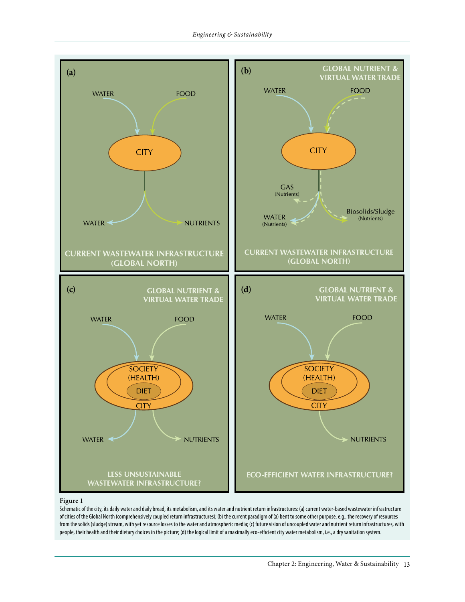

#### **Figure 1**

Schematic of the city, its daily water and daily bread, its metabolism, and its water and nutrient return infrastructures: (a) current water-based wastewater infrastructure of cities of the Global North (comprehensively coupled return infrastructures); (b) the current paradigm of (a) bent to some other purpose, e.g., the recovery of resources from the solids (sludge) stream, with yet resource losses to the water and atmospheric media; (c) future vision of uncoupled water and nutrient return infrastructures, with people, their health and their dietary choices in the picture; (d) the logical limit of a maximally eco-efficient city water metabolism, i.e., a dry sanitation system.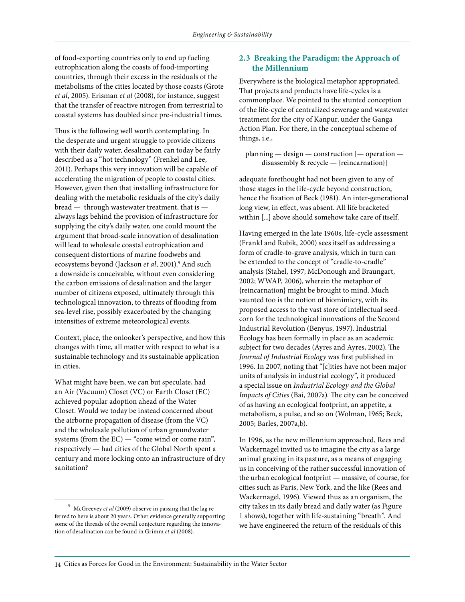of food-exporting countries only to end up fueling eutrophication along the coasts of food-importing countries, through their excess in the residuals of the metabolisms of the cities located by those coasts (Grote *et al*, 2005). Erisman *et al* (2008), for instance, suggest that the transfer of reactive nitrogen from terrestrial to coastal systems has doubled since pre-industrial times.

Thus is the following well worth contemplating. In the desperate and urgent struggle to provide citizens with their daily water, desalination can today be fairly described as a "hot technology" (Frenkel and Lee, 2011). Perhaps this very innovation will be capable of accelerating the migration of people to coastal cities. However, given then that installing infrastructure for dealing with the metabolic residuals of the city's daily bread — through wastewater treatment, that is always lags behind the provision of infrastructure for supplying the city's daily water, one could mount the argument that broad-scale innovation of desalination will lead to wholesale coastal eutrophication and consequent distortions of marine foodwebs and ecosystems beyond (Jackson *et al*, 2001).9 And such a downside is conceivable, without even considering the carbon emissions of desalination and the larger number of citizens exposed, ultimately through this technological innovation, to threats of flooding from sea-level rise, possibly exacerbated by the changing intensities of extreme meteorological events.

Context, place, the onlooker's perspective, and how this changes with time, all matter with respect to what is a sustainable technology and its sustainable application in cities.

What might have been, we can but speculate, had an Air (Vacuum) Closet (VC) or Earth Closet (EC) achieved popular adoption ahead of the Water Closet. Would we today be instead concerned about the airborne propagation of disease (from the VC) and the wholesale pollution of urban groundwater systems (from the EC) — "come wind or come rain", respectively — had cities of the Global North spent a century and more locking onto an infrastructure of dry sanitation?

#### **2.3 Breaking the Paradigm: the Approach of the Millennium**

Everywhere is the biological metaphor appropriated. That projects and products have life-cycles is a commonplace. We pointed to the stunted conception of the life-cycle of centralized sewerage and wastewater treatment for the city of Kanpur, under the Ganga Action Plan. For there, in the conceptual scheme of things, i.e.,

planning — design — construction [— operation disassembly & recycle — {reincarnation}]

adequate forethought had not been given to any of those stages in the life-cycle beyond construction, hence the fixation of Beck (1981). An inter-generational long view, in effect, was absent. All life bracketed within [...] above should somehow take care of itself.

Having emerged in the late 1960s, life-cycle assessment (Frankl and Rubik, 2000) sees itself as addressing a form of cradle-to-grave analysis, which in turn can be extended to the concept of "cradle-to-cradle" analysis (Stahel, 1997; McDonough and Braungart, 2002; WWAP, 2006), wherein the metaphor of {reincarnation} might be brought to mind. Much vaunted too is the notion of biomimicry, with its proposed access to the vast store of intellectual seedcorn for the technological innovations of the Second Industrial Revolution (Benyus, 1997). Industrial Ecology has been formally in place as an academic subject for two decades (Ayres and Ayres, 2002). The *Journal of Industrial Ecology* was first published in 1996. In 2007, noting that "[c]ities have not been major units of analysis in industrial ecology", it produced a special issue on *Industrial Ecology and the Global Impacts of Cities* (Bai, 2007a). The city can be conceived of as having an ecological footprint, an appetite, a metabolism, a pulse, and so on (Wolman, 1965; Beck, 2005; Barles, 2007a,b).

In 1996, as the new millennium approached, Rees and Wackernagel invited us to imagine the city as a large animal grazing in its pasture, as a means of engaging us in conceiving of the rather successful innovation of the urban ecological footprint — massive, of course, for cities such as Paris, New York, and the like (Rees and Wackernagel, 1996). Viewed thus as an organism, the city takes in its daily bread and daily water (as Figure 1 shows), together with life-sustaining "breath". And we have engineered the return of the residuals of this

<sup>9</sup> McGreevey *et al* (2009) observe in passing that the lag referred to here is about 20 years. Other evidence generally supporting some of the threads of the overall conjecture regarding the innovation of desalination can be found in Grimm *et al* (2008).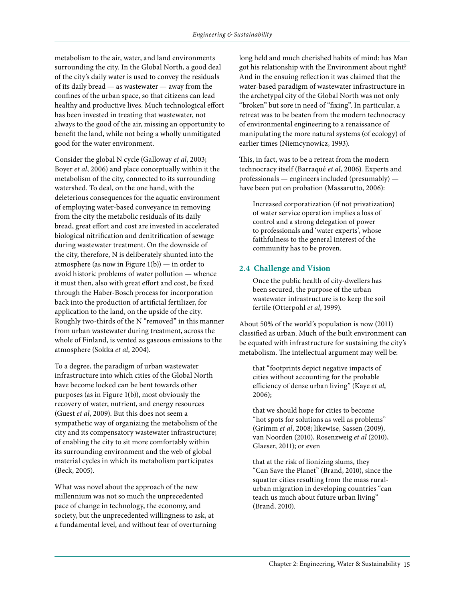metabolism to the air, water, and land environments surrounding the city. In the Global North, a good deal of the city's daily water is used to convey the residuals of its daily bread — as wastewater — away from the confines of the urban space, so that citizens can lead healthy and productive lives. Much technological effort has been invested in treating that wastewater, not always to the good of the air, missing an opportunity to benefit the land, while not being a wholly unmitigated good for the water environment.

Consider the global N cycle (Galloway *et al*, 2003; Boyer *et al*, 2006) and place conceptually within it the metabolism of the city, connected to its surrounding watershed. To deal, on the one hand, with the deleterious consequences for the aquatic environment of employing water-based conveyance in removing from the city the metabolic residuals of its daily bread, great effort and cost are invested in accelerated biological nitrification and denitrification of sewage during wastewater treatment. On the downside of the city, therefore, N is deliberately shunted into the atmosphere (as now in Figure  $1(b)$ ) — in order to avoid historic problems of water pollution — whence it must then, also with great effort and cost, be fixed through the Haber-Bosch process for incorporation back into the production of artificial fertilizer, for application to the land, on the upside of the city. Roughly two-thirds of the N "removed" in this manner from urban wastewater during treatment, across the whole of Finland, is vented as gaseous emissions to the atmosphere (Sokka *et al*, 2004).

To a degree, the paradigm of urban wastewater infrastructure into which cities of the Global North have become locked can be bent towards other purposes (as in Figure 1(b)), most obviously the recovery of water, nutrient, and energy resources (Guest *et al*, 2009). But this does not seem a sympathetic way of organizing the metabolism of the city and its compensatory wastewater infrastructure; of enabling the city to sit more comfortably within its surrounding environment and the web of global material cycles in which its metabolism participates (Beck, 2005).

What was novel about the approach of the new millennium was not so much the unprecedented pace of change in technology, the economy, and society, but the unprecedented willingness to ask, at a fundamental level, and without fear of overturning long held and much cherished habits of mind: has Man got his relationship with the Environment about right? And in the ensuing reflection it was claimed that the water-based paradigm of wastewater infrastructure in the archetypal city of the Global North was not only "broken" but sore in need of "fixing". In particular, a retreat was to be beaten from the modern technocracy of environmental engineering to a renaissance of manipulating the more natural systems (of ecology) of earlier times (Niemcynowicz, 1993).

This, in fact, was to be a retreat from the modern technocracy itself (Barraqué *et al*, 2006). Experts and professionals — engineers included (presumably) have been put on probation (Massarutto, 2006):

Increased corporatization (if not privatization) of water service operation implies a loss of control and a strong delegation of power to professionals and 'water experts', whose faithfulness to the general interest of the community has to be proven.

# **2.4 Challenge and Vision**

Once the public health of city-dwellers has been secured, the purpose of the urban wastewater infrastructure is to keep the soil fertile (Otterpohl *et al*, 1999).

About 50% of the world's population is now (2011) classified as urban. Much of the built environment can be equated with infrastructure for sustaining the city's metabolism. The intellectual argument may well be:

that "footprints depict negative impacts of cities without accounting for the probable efficiency of dense urban living" (Kaye *et al*, 2006);

that we should hope for cities to become "hot spots for solutions as well as problems" (Grimm *et al*, 2008; likewise, Sassen (2009), van Noorden (2010), Rosenzweig *et al* (2010), Glaeser, 2011); or even

that at the risk of lionizing slums, they "Can Save the Planet" (Brand, 2010), since the squatter cities resulting from the mass ruralurban migration in developing countries "can teach us much about future urban living" (Brand, 2010).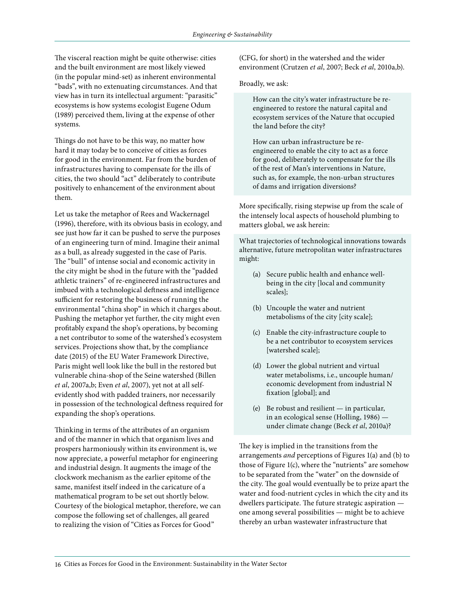The visceral reaction might be quite otherwise: cities and the built environment are most likely viewed (in the popular mind-set) as inherent environmental "bads", with no extenuating circumstances. And that view has in turn its intellectual argument: "parasitic" ecosystems is how systems ecologist Eugene Odum (1989) perceived them, living at the expense of other systems.

Things do not have to be this way, no matter how hard it may today be to conceive of cities as forces for good in the environment. Far from the burden of infrastructures having to compensate for the ills of cities, the two should "act" deliberately to contribute positively to enhancement of the environment about them.

Let us take the metaphor of Rees and Wackernagel (1996), therefore, with its obvious basis in ecology, and see just how far it can be pushed to serve the purposes of an engineering turn of mind. Imagine their animal as a bull, as already suggested in the case of Paris. The "bull" of intense social and economic activity in the city might be shod in the future with the "padded athletic trainers" of re-engineered infrastructures and imbued with a technological deftness and intelligence sufficient for restoring the business of running the environmental "china shop" in which it charges about. Pushing the metaphor yet further, the city might even profitably expand the shop's operations, by becoming a net contributor to some of the watershed's ecosystem services. Projections show that, by the compliance date (2015) of the EU Water Framework Directive, Paris might well look like the bull in the restored but vulnerable china-shop of the Seine watershed (Billen *et al*, 2007a,b; Even *et al*, 2007), yet not at all selfevidently shod with padded trainers, nor necessarily in possession of the technological deftness required for expanding the shop's operations.

Thinking in terms of the attributes of an organism and of the manner in which that organism lives and prospers harmoniously within its environment is, we now appreciate, a powerful metaphor for engineering and industrial design. It augments the image of the clockwork mechanism as the earlier epitome of the same, manifest itself indeed in the caricature of a mathematical program to be set out shortly below. Courtesy of the biological metaphor, therefore, we can compose the following set of challenges, all geared to realizing the vision of "Cities as Forces for Good"

(CFG, for short) in the watershed and the wider environment (Crutzen *et al*, 2007; Beck *et al*, 2010a,b).

Broadly, we ask:

How can the city's water infrastructure be reengineered to restore the natural capital and ecosystem services of the Nature that occupied the land before the city?

How can urban infrastructure be reengineered to enable the city to act as a force for good, deliberately to compensate for the ills of the rest of Man's interventions in Nature, such as, for example, the non-urban structures of dams and irrigation diversions?

More specifically, rising stepwise up from the scale of the intensely local aspects of household plumbing to matters global, we ask herein:

What trajectories of technological innovations towards alternative, future metropolitan water infrastructures might:

- (a) Secure public health and enhance wellbeing in the city [local and community scales];
- (b) Uncouple the water and nutrient metabolisms of the city [city scale];
- (c) Enable the city-infrastructure couple to be a net contributor to ecosystem services [watershed scale];
- (d) Lower the global nutrient and virtual water metabolisms, i.e., uncouple human/ economic development from industrial N fixation [global]; and
- (e) Be robust and resilient in particular, in an ecological sense (Holling, 1986) under climate change (Beck *et al*, 2010a)?

The key is implied in the transitions from the arrangements *and* perceptions of Figures 1(a) and (b) to those of Figure 1(c), where the "nutrients" are somehow to be separated from the "water" on the downside of the city. The goal would eventually be to prize apart the water and food-nutrient cycles in which the city and its dwellers participate. The future strategic aspiration one among several possibilities — might be to achieve thereby an urban wastewater infrastructure that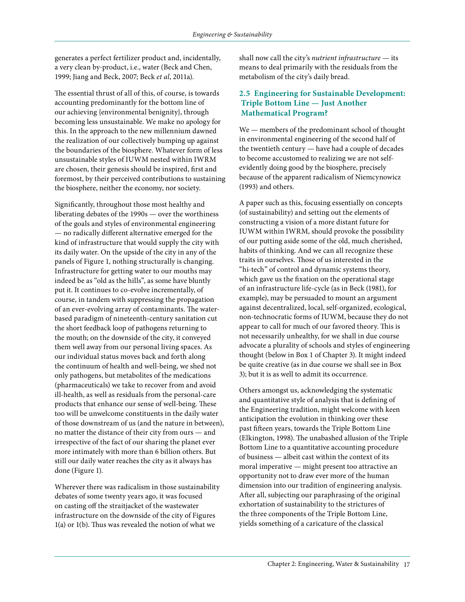generates a perfect fertilizer product and, incidentally, a very clean by-product, i.e., water (Beck and Chen, 1999; Jiang and Beck, 2007; Beck *et al*, 2011a).

The essential thrust of all of this, of course, is towards accounting predominantly for the bottom line of our achieving {environmental benignity}, through becoming less unsustainable. We make no apology for this. In the approach to the new millennium dawned the realization of our collectively bumping up against the boundaries of the biosphere. Whatever form of less unsustainable styles of IUWM nested within IWRM are chosen, their genesis should be inspired, first and foremost, by their perceived contributions to sustaining the biosphere, neither the economy, nor society.

Significantly, throughout those most healthy and liberating debates of the 1990s — over the worthiness of the goals and styles of environmental engineering — no radically different alternative emerged for the kind of infrastructure that would supply the city with its daily water. On the upside of the city in any of the panels of Figure 1, nothing structurally is changing. Infrastructure for getting water to our mouths may indeed be as "old as the hills", as some have bluntly put it. It continues to co-evolve incrementally, of course, in tandem with suppressing the propagation of an ever-evolving array of contaminants. The waterbased paradigm of nineteenth-century sanitation cut the short feedback loop of pathogens returning to the mouth; on the downside of the city, it conveyed them well away from our personal living spaces. As our individual status moves back and forth along the continuum of health and well-being, we shed not only pathogens, but metabolites of the medications (pharmaceuticals) we take to recover from and avoid ill-health, as well as residuals from the personal-care products that enhance our sense of well-being. These too will be unwelcome constituents in the daily water of those downstream of us (and the nature in between), no matter the distance of their city from ours — and irrespective of the fact of our sharing the planet ever more intimately with more than 6 billion others. But still our daily water reaches the city as it always has done (Figure 1).

Wherever there was radicalism in those sustainability debates of some twenty years ago, it was focused on casting off the straitjacket of the wastewater infrastructure on the downside of the city of Figures 1(a) or 1(b). Thus was revealed the notion of what we

shall now call the city's *nutrient infrastructure* — its means to deal primarily with the residuals from the metabolism of the city's daily bread.

# **2.5 Engineering for Sustainable Development: Triple Bottom Line — Just Another Mathematical Program?**

We — members of the predominant school of thought in environmental engineering of the second half of the twentieth century — have had a couple of decades to become accustomed to realizing we are not selfevidently doing good by the biosphere, precisely because of the apparent radicalism of Niemcynowicz (1993) and others.

A paper such as this, focusing essentially on concepts (of sustainability) and setting out the elements of constructing a vision of a more distant future for IUWM within IWRM, should provoke the possibility of our putting aside some of the old, much cherished, habits of thinking. And we can all recognize these traits in ourselves. Those of us interested in the "hi-tech" of control and dynamic systems theory, which gave us the fixation on the operational stage of an infrastructure life-cycle (as in Beck (1981), for example), may be persuaded to mount an argument against decentralized, local, self-organized, ecological, non-technocratic forms of IUWM, because they do not appear to call for much of our favored theory. This is not necessarily unhealthy, for we shall in due course advocate a plurality of schools and styles of engineering thought (below in Box 1 of Chapter 3). It might indeed be quite creative (as in due course we shall see in Box 3); but it is as well to admit its occurrence.

Others amongst us, acknowledging the systematic and quantitative style of analysis that is defining of the Engineering tradition, might welcome with keen anticipation the evolution in thinking over these past fifteen years, towards the Triple Bottom Line (Elkington, 1998). The unabashed allusion of the Triple Bottom Line to a quantitative accounting procedure of business — albeit cast within the context of its moral imperative — might present too attractive an opportunity not to draw ever more of the human dimension into our tradition of engineering analysis. After all, subjecting our paraphrasing of the original exhortation of sustainability to the strictures of the three components of the Triple Bottom Line, yields something of a caricature of the classical